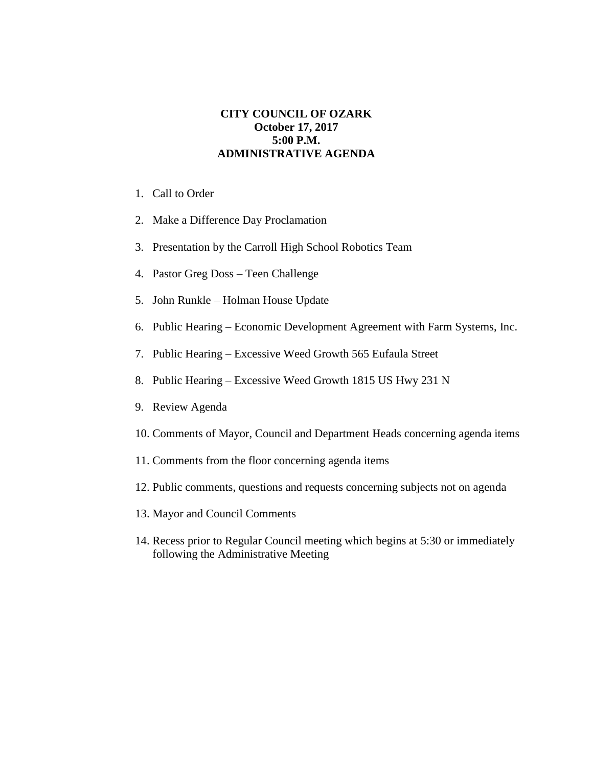## **CITY COUNCIL OF OZARK October 17, 2017 5:00 P.M. ADMINISTRATIVE AGENDA**

- 1. Call to Order
- 2. Make a Difference Day Proclamation
- 3. Presentation by the Carroll High School Robotics Team
- 4. Pastor Greg Doss Teen Challenge
- 5. John Runkle Holman House Update
- 6. Public Hearing Economic Development Agreement with Farm Systems, Inc.
- 7. Public Hearing Excessive Weed Growth 565 Eufaula Street
- 8. Public Hearing Excessive Weed Growth 1815 US Hwy 231 N
- 9. Review Agenda
- 10. Comments of Mayor, Council and Department Heads concerning agenda items
- 11. Comments from the floor concerning agenda items
- 12. Public comments, questions and requests concerning subjects not on agenda
- 13. Mayor and Council Comments
- 14. Recess prior to Regular Council meeting which begins at 5:30 or immediately following the Administrative Meeting